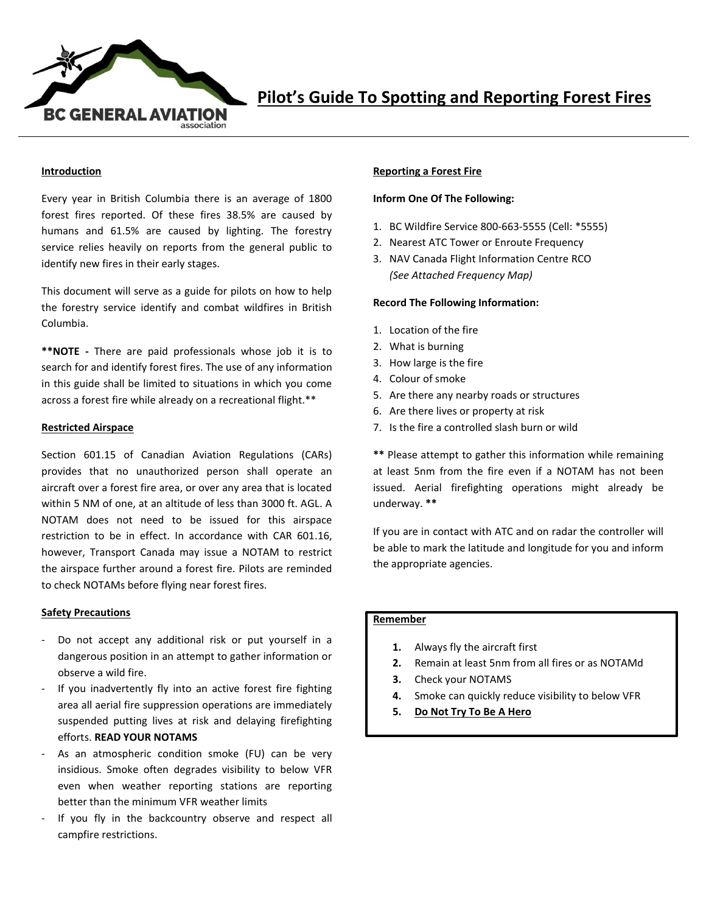

## **Introduction**

Every year in British Columbia there is an average of 1800 forest fires reported. Of these fires 38.5% are caused by humans and 61.5% are caused by lighting. The forestry service relies heavily on reports from the general public to identify new fires in their early stages.

This document will serve as a guide for pilots on how to help the forestry service identify and combat wildfires in British Columbia.

**\*\*NOTE -** There are paid professionals whose job it is to search for and identify forest fires. The use of any information in this guide shall be limited to situations in which you come across a forest fire while already on a recreational flight.\*\*

### **Restricted Airspace**

Section 601.15 of Canadian Aviation Regulations (CARs) provides that no unauthorized person shall operate an aircraft over a forest fire area, or over any area that is located within 5 NM of one, at an altitude of less than 3000 ft. AGL. A NOTAM does not need to be issued for this airspace restriction to be in effect. In accordance with CAR 601.16, however, Transport Canada may issue a NOTAM to restrict the airspace further around a forest fire. Pilots are reminded to check NOTAMs before flying near forest fires.

### **Safety Precautions**

- Do not accept any additional risk or put yourself in a dangerous position in an attempt to gather information or observe a wild fire.
- If you inadvertently fly into an active forest fire fighting area all aerial fire suppression operations are immediately suspended putting lives at risk and delaying firefighting efforts. **READ YOUR NOTAMS**
- As an atmospheric condition smoke (FU) can be very insidious. Smoke often degrades visibility to below VFR even when weather reporting stations are reporting better than the minimum VFR weather limits
- If you fly in the backcountry observe and respect all campfire restrictions.

## **Reporting a Forest Fire**

## **Inform One Of The Following:**

- 1. BC Wildfire Service 800-663-5555 (Cell: \*5555)
- 2. Nearest ATC Tower or Enroute Frequency
- 3. NAV Canada Flight Information Centre RCO *(See Attached Frequency Map)*

### **Record The Following Information:**

- 1. Location of the fire
- 2. What is burning
- 3. How large is the fire
- 4. Colour of smoke
- 5. Are there any nearby roads or structures
- 6. Are there lives or property at risk
- 7. Is the fire a controlled slash burn or wild

**\*\*** Please attempt to gather this information while remaining at least 5nm from the fire even if a NOTAM has not been issued. Aerial firefighting operations might already be underway. **\*\***

If you are in contact with ATC and on radar the controller will be able to mark the latitude and longitude for you and inform the appropriate agencies.

# **Remember**

- **1.** Always fly the aircraft first
- **2.** Remain at least 5nm from all fires or as NOTAMd
- **3.** Check your NOTAMS
- **4.** Smoke can quickly reduce visibility to below VFR
- **5. Do Not Try To Be A Hero**